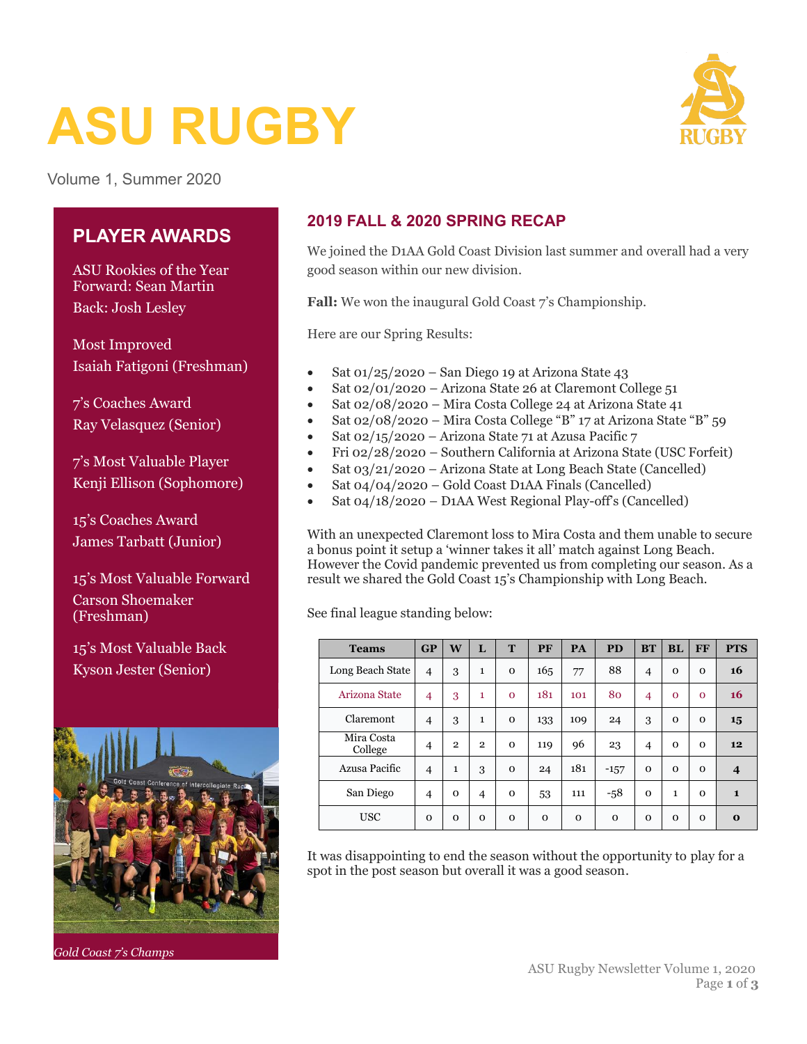# **ASU RUGBY**



Volume 1, Summer 2020

### **PLAYER AWARDS**

ASU Rookies of the Year Forward: Sean Martin Back: Josh Lesley

Most Improved Isaiah Fatigoni (Freshman)

7's Coaches Award Ray Velasquez (Senior)

7's Most Valuable Player Kenji Ellison (Sophomore)

15's Coaches Award James Tarbatt (Junior)

15's Most Valuable Forward Carson Shoemaker (Freshman)

15's Most Valuable Back Kyson Jester (Senior)



*Gold Coast 7's Champs*

## **2019 FALL & 2020 SPRING RECAP**

We joined the D1AA Gold Coast Division last summer and overall had a very good season within our new division.

**Fall:** We won the inaugural Gold Coast 7's Championship.

Here are our Spring Results:

- Sat  $01/25/2020$  San Diego 19 at Arizona State 43
- Sat 02/01/2020 Arizona State 26 at Claremont College 51
- Sat 02/08/2020 Mira Costa College 24 at Arizona State 41
- Sat 02/08/2020 Mira Costa College "B" 17 at Arizona State "B" 59
- Sat 02/15/2020 Arizona State 71 at Azusa Pacific 7
- Fri 02/28/2020 Southern California at Arizona State (USC Forfeit)
- Sat 03/21/2020 Arizona State at Long Beach State (Cancelled)
- Sat 04/04/2020 Gold Coast D1AA Finals (Cancelled)
- Sat 04/18/2020 D1AA West Regional Play-off's (Cancelled)

With an unexpected Claremont loss to Mira Costa and them unable to secure a bonus point it setup a 'winner takes it all' match against Long Beach. However the Covid pandemic prevented us from completing our season. As a result we shared the Gold Coast 15's Championship with Long Beach.

See final league standing below:

| <b>Teams</b>          | GP             | W            | L              | T            | PF       | PA           | <b>PD</b>    | <b>BT</b>      | <b>BL</b> | FF       | <b>PTS</b>       |
|-----------------------|----------------|--------------|----------------|--------------|----------|--------------|--------------|----------------|-----------|----------|------------------|
| Long Beach State      | $\overline{4}$ | 3            | 1              | $\Omega$     | 165      | 77           | 88           | $\overline{4}$ | $\Omega$  | $\Omega$ | 16               |
| Arizona State         | 4              | 3            | 1              | $\Omega$     | 181      | 101          | 80           | 4              | $\Omega$  | $\Omega$ | 16               |
| Claremont             | $\overline{4}$ | 3            | $\mathbf{1}$   | $\mathbf{O}$ | 133      | 109          | 24           | 3              | $\Omega$  | $\Omega$ | 15               |
| Mira Costa<br>College | $\overline{4}$ | $\mathbf{2}$ | $\mathbf{2}$   | $\Omega$     | 119      | 96           | 23           | $\overline{4}$ | $\Omega$  | $\Omega$ | 12               |
| Azusa Pacific         | $\overline{4}$ | $\mathbf{1}$ | 3              | $\Omega$     | 24       | 181          | $-157$       | $\Omega$       | $\Omega$  | $\Omega$ | $\boldsymbol{4}$ |
| San Diego             | $\overline{4}$ | $\mathbf 0$  | $\overline{4}$ | $\Omega$     | 53       | 111          | $-58$        | $\Omega$       | 1         | $\Omega$ | $\mathbf{1}$     |
| <b>USC</b>            | $\Omega$       | $\mathbf 0$  | $\Omega$       | $\mathbf{O}$ | $\Omega$ | $\mathbf{O}$ | $\mathbf{O}$ | $\Omega$       | $\Omega$  | $\Omega$ | $\Omega$         |

It was disappointing to end the season without the opportunity to play for a spot in the post season but overall it was a good season.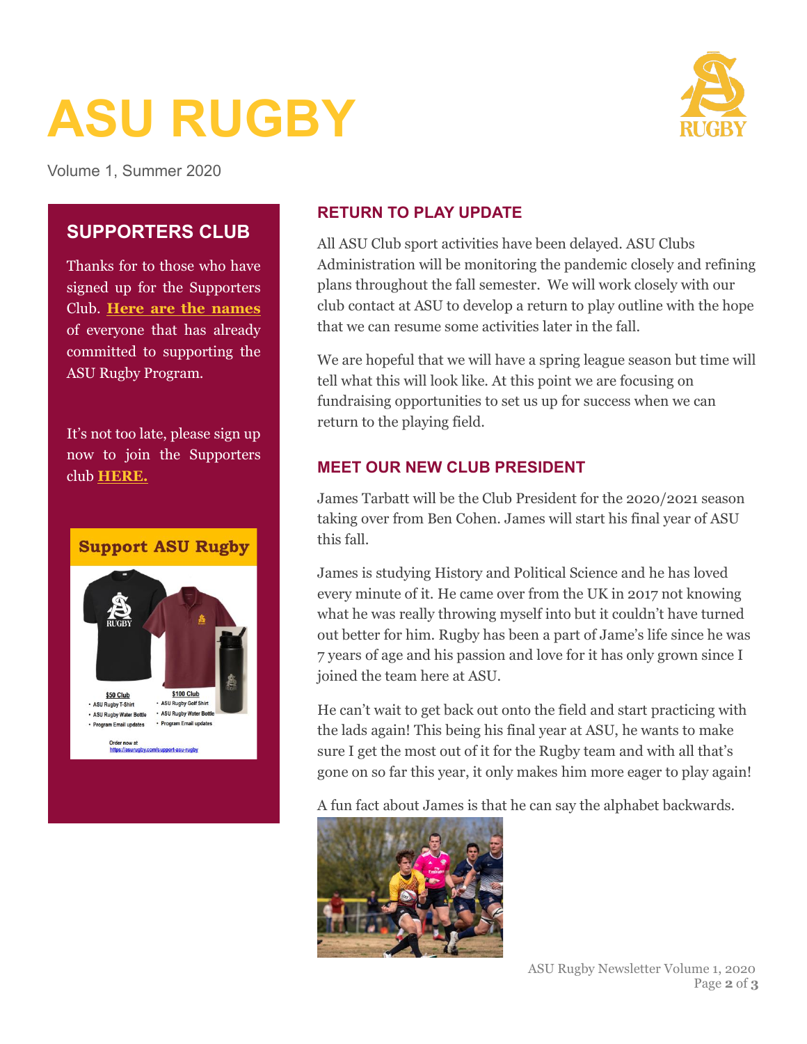# **ASU RUGBY**



Volume 1, Summer 2020

### **SUPPORTERS CLUB**

Thanks for to those who have signed up for the Supporters Club. **[Here are the names](https://asurugby.com/supporters-club/)** of everyone that has already committed to supporting the ASU Rugby Program.

It's not too late, please sign up now to join the Supporters club **[HERE.](https://asurugby.com/support-asu-rugby/)**



#### **RETURN TO PLAY UPDATE**

All ASU Club sport activities have been delayed. ASU Clubs Administration will be monitoring the pandemic closely and refining plans throughout the fall semester. We will work closely with our club contact at ASU to develop a return to play outline with the hope that we can resume some activities later in the fall.

We are hopeful that we will have a spring league season but time will tell what this will look like. At this point we are focusing on fundraising opportunities to set us up for success when we can return to the playing field.

#### **MEET OUR NEW CLUB PRESIDENT**

James Tarbatt will be the Club President for the 2020/2021 season taking over from Ben Cohen. James will start his final year of ASU this fall.

James is studying History and Political Science and he has loved every minute of it. He came over from the UK in 2017 not knowing what he was really throwing myself into but it couldn't have turned out better for him. Rugby has been a part of Jame's life since he was 7 years of age and his passion and love for it has only grown since I joined the team here at ASU.

He can't wait to get back out onto the field and start practicing with the lads again! This being his final year at ASU, he wants to make sure I get the most out of it for the Rugby team and with all that's gone on so far this year, it only makes him more eager to play again!

A fun fact about James is that he can say the alphabet backwards.